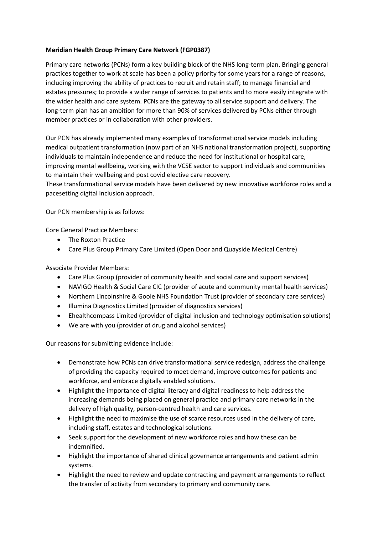### **Meridian Health Group Primary Care Network (FGP0387)**

Primary care networks (PCNs) form a key building block of the NHS long-term plan. Bringing general practices together to work at scale has been a policy priority for some years for a range of reasons, including improving the ability of practices to recruit and retain staff; to manage financial and estates pressures; to provide a wider range of services to patients and to more easily integrate with the wider health and care system. PCNs are the gateway to all service support and delivery. The long-term plan has an ambition for more than 90% of services delivered by PCNs either through member practices or in collaboration with other providers.

Our PCN has already implemented many examples of transformational service models including medical outpatient transformation (now part of an NHS national transformation project), supporting individuals to maintain independence and reduce the need for institutional or hospital care, improving mental wellbeing, working with the VCSE sector to support individuals and communities to maintain their wellbeing and post covid elective care recovery.

These transformational service models have been delivered by new innovative workforce roles and a pacesetting digital inclusion approach.

Our PCN membership is as follows:

Core General Practice Members:

- The Roxton Practice
- Care Plus Group Primary Care Limited (Open Door and Quayside Medical Centre)

Associate Provider Members:

- Care Plus Group (provider of community health and social care and support services)
- NAVIGO Health & Social Care CIC (provider of acute and community mental health services)
- Northern Lincolnshire & Goole NHS Foundation Trust (provider of secondary care services)
- Illumina Diagnostics Limited (provider of diagnostics services)
- Ehealthcompass Limited (provider of digital inclusion and technology optimisation solutions)
- We are with you (provider of drug and alcohol services)

Our reasons for submitting evidence include:

- Demonstrate how PCNs can drive transformational service redesign, address the challenge of providing the capacity required to meet demand, improve outcomes for patients and workforce, and embrace digitally enabled solutions.
- Highlight the importance of digital literacy and digital readiness to help address the increasing demands being placed on general practice and primary care networks in the delivery of high quality, person-centred health and care services.
- Highlight the need to maximise the use of scarce resources used in the delivery of care, including staff, estates and technological solutions.
- Seek support for the development of new workforce roles and how these can be indemnified.
- Highlight the importance of shared clinical governance arrangements and patient admin systems.
- Highlight the need to review and update contracting and payment arrangements to reflect the transfer of activity from secondary to primary and community care.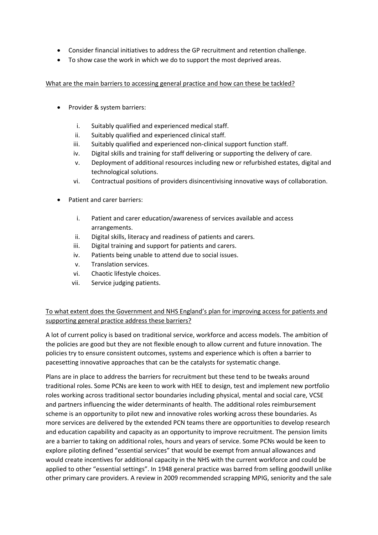- Consider financial initiatives to address the GP recruitment and retention challenge.
- To show case the work in which we do to support the most deprived areas.

What are the main barriers to accessing general practice and how can these be tackled?

- Provider & system barriers:
	- i. Suitably qualified and experienced medical staff.
	- ii. Suitably qualified and experienced clinical staff.
	- iii. Suitably qualified and experienced non-clinical support function staff.
	- iv. Digital skills and training for staff delivering or supporting the delivery of care.
	- v. Deployment of additional resources including new or refurbished estates, digital and technological solutions.
	- vi. Contractual positions of providers disincentivising innovative ways of collaboration.
- Patient and carer barriers:
	- i. Patient and carer education/awareness of services available and access arrangements.
	- ii. Digital skills, literacy and readiness of patients and carers.
	- iii. Digital training and support for patients and carers.
	- iv. Patients being unable to attend due to social issues.
	- v. Translation services.
	- vi. Chaotic lifestyle choices.
	- vii. Service judging patients.

To what extent does the Government and NHS England's plan for improving access for patients and supporting general practice address these barriers?

A lot of current policy is based on traditional service, workforce and access models. The ambition of the policies are good but they are not flexible enough to allow current and future innovation. The policies try to ensure consistent outcomes, systems and experience which is often a barrier to pacesetting innovative approaches that can be the catalysts for systematic change.

Plans are in place to address the barriers for recruitment but these tend to be tweaks around traditional roles. Some PCNs are keen to work with HEE to design, test and implement new portfolio roles working across traditional sector boundaries including physical, mental and social care, VCSE and partners influencing the wider determinants of health. The additional roles reimbursement scheme is an opportunity to pilot new and innovative roles working across these boundaries. As more services are delivered by the extended PCN teams there are opportunities to develop research and education capability and capacity as an opportunity to improve recruitment. The pension limits are a barrier to taking on additional roles, hours and years of service. Some PCNs would be keen to explore piloting defined "essential services" that would be exempt from annual allowances and would create incentives for additional capacity in the NHS with the current workforce and could be applied to other "essential settings". In 1948 general practice was barred from selling goodwill unlike other primary care providers. A review in 2009 recommended scrapping MPIG, seniority and the sale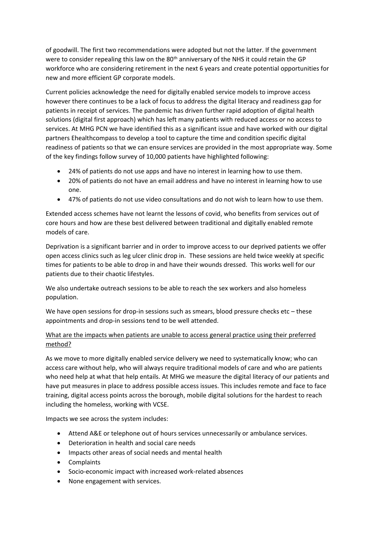of goodwill. The first two recommendations were adopted but not the latter. If the government were to consider repealing this law on the 80<sup>th</sup> anniversary of the NHS it could retain the GP workforce who are considering retirement in the next 6 years and create potential opportunities for new and more efficient GP corporate models.

Current policies acknowledge the need for digitally enabled service models to improve access however there continues to be a lack of focus to address the digital literacy and readiness gap for patients in receipt of services. The pandemic has driven further rapid adoption of digital health solutions (digital first approach) which has left many patients with reduced access or no access to services. At MHG PCN we have identified this as a significant issue and have worked with our digital partners Ehealthcompass to develop a tool to capture the time and condition specific digital readiness of patients so that we can ensure services are provided in the most appropriate way. Some of the key findings follow survey of 10,000 patients have highlighted following:

- 24% of patients do not use apps and have no interest in learning how to use them.
- 20% of patients do not have an email address and have no interest in learning how to use one.
- 47% of patients do not use video consultations and do not wish to learn how to use them.

Extended access schemes have not learnt the lessons of covid, who benefits from services out of core hours and how are these best delivered between traditional and digitally enabled remote models of care.

Deprivation is a significant barrier and in order to improve access to our deprived patients we offer open access clinics such as leg ulcer clinic drop in. These sessions are held twice weekly at specific times for patients to be able to drop in and have their wounds dressed. This works well for our patients due to their chaotic lifestyles.

We also undertake outreach sessions to be able to reach the sex workers and also homeless population.

We have open sessions for drop-in sessions such as smears, blood pressure checks etc – these appointments and drop-in sessions tend to be well attended.

## What are the impacts when patients are unable to access general practice using their preferred method?

As we move to more digitally enabled service delivery we need to systematically know; who can access care without help, who will always require traditional models of care and who are patients who need help at what that help entails. At MHG we measure the digital literacy of our patients and have put measures in place to address possible access issues. This includes remote and face to face training, digital access points across the borough, mobile digital solutions for the hardest to reach including the homeless, working with VCSE.

Impacts we see across the system includes:

- Attend A&E or telephone out of hours services unnecessarily or ambulance services.
- Deterioration in health and social care needs
- Impacts other areas of social needs and mental health
- Complaints
- Socio-economic impact with increased work-related absences
- None engagement with services.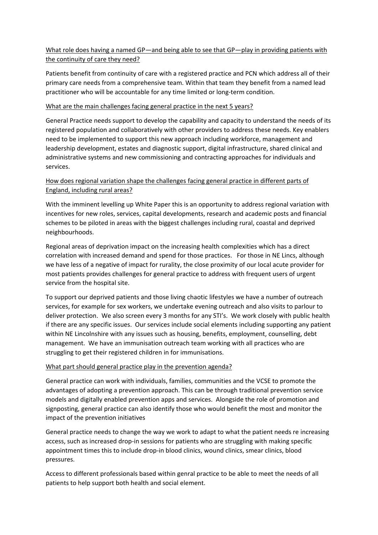# What role does having a named GP—and being able to see that GP—play in providing patients with the continuity of care they need?

Patients benefit from continuity of care with a registered practice and PCN which address all of their primary care needs from a comprehensive team. Within that team they benefit from a named lead practitioner who will be accountable for any time limited or long-term condition.

### What are the main challenges facing general practice in the next 5 years?

General Practice needs support to develop the capability and capacity to understand the needs of its registered population and collaboratively with other providers to address these needs. Key enablers need to be implemented to support this new approach including workforce, management and leadership development, estates and diagnostic support, digital infrastructure, shared clinical and administrative systems and new commissioning and contracting approaches for individuals and services.

# How does regional variation shape the challenges facing general practice in different parts of England, including rural areas?

With the imminent levelling up White Paper this is an opportunity to address regional variation with incentives for new roles, services, capital developments, research and academic posts and financial schemes to be piloted in areas with the biggest challenges including rural, coastal and deprived neighbourhoods.

Regional areas of deprivation impact on the increasing health complexities which has a direct correlation with increased demand and spend for those practices. For those in NE Lincs, although we have less of a negative of impact for rurality, the close proximity of our local acute provider for most patients provides challenges for general practice to address with frequent users of urgent service from the hospital site.

To support our deprived patients and those living chaotic lifestyles we have a number of outreach services, for example for sex workers, we undertake evening outreach and also visits to parlour to deliver protection. We also screen every 3 months for any STI's. We work closely with public health if there are any specific issues. Our services include social elements including supporting any patient within NE Lincolnshire with any issues such as housing, benefits, employment, counselling, debt management. We have an immunisation outreach team working with all practices who are struggling to get their registered children in for immunisations.

### What part should general practice play in the prevention agenda?

General practice can work with individuals, families, communities and the VCSE to promote the advantages of adopting a prevention approach. This can be through traditional prevention service models and digitally enabled prevention apps and services. Alongside the role of promotion and signposting, general practice can also identify those who would benefit the most and monitor the impact of the prevention initiatives

General practice needs to change the way we work to adapt to what the patient needs re increasing access, such as increased drop-in sessions for patients who are struggling with making specific appointment times this to include drop-in blood clinics, wound clinics, smear clinics, blood pressures.

Access to different professionals based within genral practice to be able to meet the needs of all patients to help support both health and social element.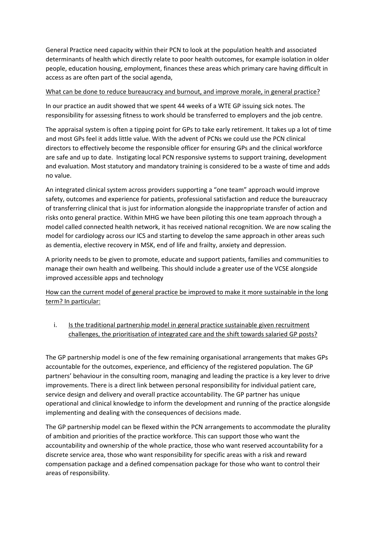General Practice need capacity within their PCN to look at the population health and associated determinants of health which directly relate to poor health outcomes, for example isolation in older people, education housing, employment, finances these areas which primary care having difficult in access as are often part of the social agenda,

#### What can be done to reduce bureaucracy and burnout, and improve morale, in general practice?

In our practice an audit showed that we spent 44 weeks of a WTE GP issuing sick notes. The responsibility for assessing fitness to work should be transferred to employers and the job centre.

The appraisal system is often a tipping point for GPs to take early retirement. It takes up a lot of time and most GPs feel it adds little value. With the advent of PCNs we could use the PCN clinical directors to effectively become the responsible officer for ensuring GPs and the clinical workforce are safe and up to date. Instigating local PCN responsive systems to support training, development and evaluation. Most statutory and mandatory training is considered to be a waste of time and adds no value.

An integrated clinical system across providers supporting a "one team" approach would improve safety, outcomes and experience for patients, professional satisfaction and reduce the bureaucracy of transferring clinical that is just for information alongside the inappropriate transfer of action and risks onto general practice. Within MHG we have been piloting this one team approach through a model called connected health network, it has received national recognition. We are now scaling the model for cardiology across our ICS and starting to develop the same approach in other areas such as dementia, elective recovery in MSK, end of life and frailty, anxiety and depression.

A priority needs to be given to promote, educate and support patients, families and communities to manage their own health and wellbeing. This should include a greater use of the VCSE alongside improved accessible apps and technology

How can the current model of general practice be improved to make it more sustainable in the long term? In particular:

## i. Is the traditional partnership model in general practice sustainable given recruitment challenges, the prioritisation of integrated care and the shift towards salaried GP posts?

The GP partnership model is one of the few remaining organisational arrangements that makes GPs accountable for the outcomes, experience, and efficiency of the registered population. The GP partners' behaviour in the consulting room, managing and leading the practice is a key lever to drive improvements. There is a direct link between personal responsibility for individual patient care, service design and delivery and overall practice accountability. The GP partner has unique operational and clinical knowledge to inform the development and running of the practice alongside implementing and dealing with the consequences of decisions made.

The GP partnership model can be flexed within the PCN arrangements to accommodate the plurality of ambition and priorities of the practice workforce. This can support those who want the accountability and ownership of the whole practice, those who want reserved accountability for a discrete service area, those who want responsibility for specific areas with a risk and reward compensation package and a defined compensation package for those who want to control their areas of responsibility.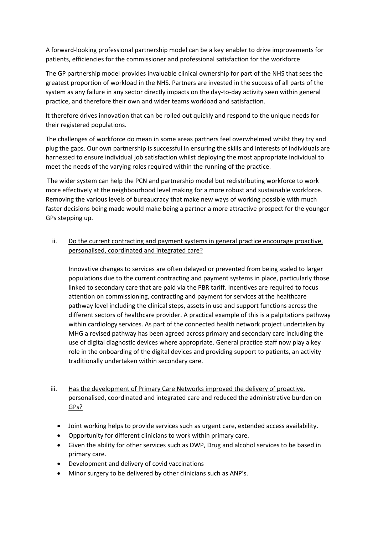A forward-looking professional partnership model can be a key enabler to drive improvements for patients, efficiencies for the commissioner and professional satisfaction for the workforce

The GP partnership model provides invaluable clinical ownership for part of the NHS that sees the greatest proportion of workload in the NHS. Partners are invested in the success of all parts of the system as any failure in any sector directly impacts on the day-to-day activity seen within general practice, and therefore their own and wider teams workload and satisfaction.

It therefore drives innovation that can be rolled out quickly and respond to the unique needs for their registered populations.

The challenges of workforce do mean in some areas partners feel overwhelmed whilst they try and plug the gaps. Our own partnership is successful in ensuring the skills and interests of individuals are harnessed to ensure individual job satisfaction whilst deploying the most appropriate individual to meet the needs of the varying roles required within the running of the practice.

The wider system can help the PCN and partnership model but redistributing workforce to work more effectively at the neighbourhood level making for a more robust and sustainable workforce. Removing the various levels of bureaucracy that make new ways of working possible with much faster decisions being made would make being a partner a more attractive prospect for the younger GPs stepping up.

ii. Do the current contracting and payment systems in general practice encourage proactive, personalised, coordinated and integrated care?

Innovative changes to services are often delayed or prevented from being scaled to larger populations due to the current contracting and payment systems in place, particularly those linked to secondary care that are paid via the PBR tariff. Incentives are required to focus attention on commissioning, contracting and payment for services at the healthcare pathway level including the clinical steps, assets in use and support functions across the different sectors of healthcare provider. A practical example of this is a palpitations pathway within cardiology services. As part of the connected health network project undertaken by MHG a revised pathway has been agreed across primary and secondary care including the use of digital diagnostic devices where appropriate. General practice staff now play a key role in the onboarding of the digital devices and providing support to patients, an activity traditionally undertaken within secondary care.

- iii. Has the development of Primary Care Networks improved the delivery of proactive, personalised, coordinated and integrated care and reduced the administrative burden on GPs?
	- Joint working helps to provide services such as urgent care, extended access availability.
	- Opportunity for different clinicians to work within primary care.
	- Given the ability for other services such as DWP, Drug and alcohol services to be based in primary care.
	- Development and delivery of covid vaccinations
	- Minor surgery to be delivered by other clinicians such as ANP's.